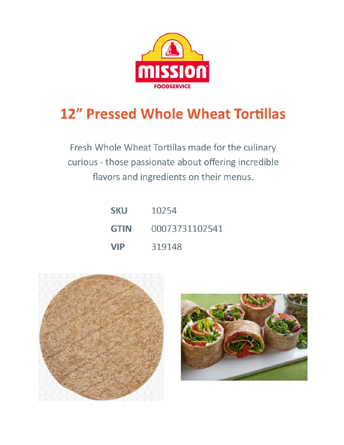

## **12" Pressed Whole Wheat Tortillas**

Fresh Whole Wheat Tortillas made for the culinary curious - those passionate about offering incredible flavors and ingredients on their menus.

| <b>SKU</b>  | 10254          |
|-------------|----------------|
| <b>GTIN</b> | 00073731102541 |
| <b>VIP</b>  | 319148         |